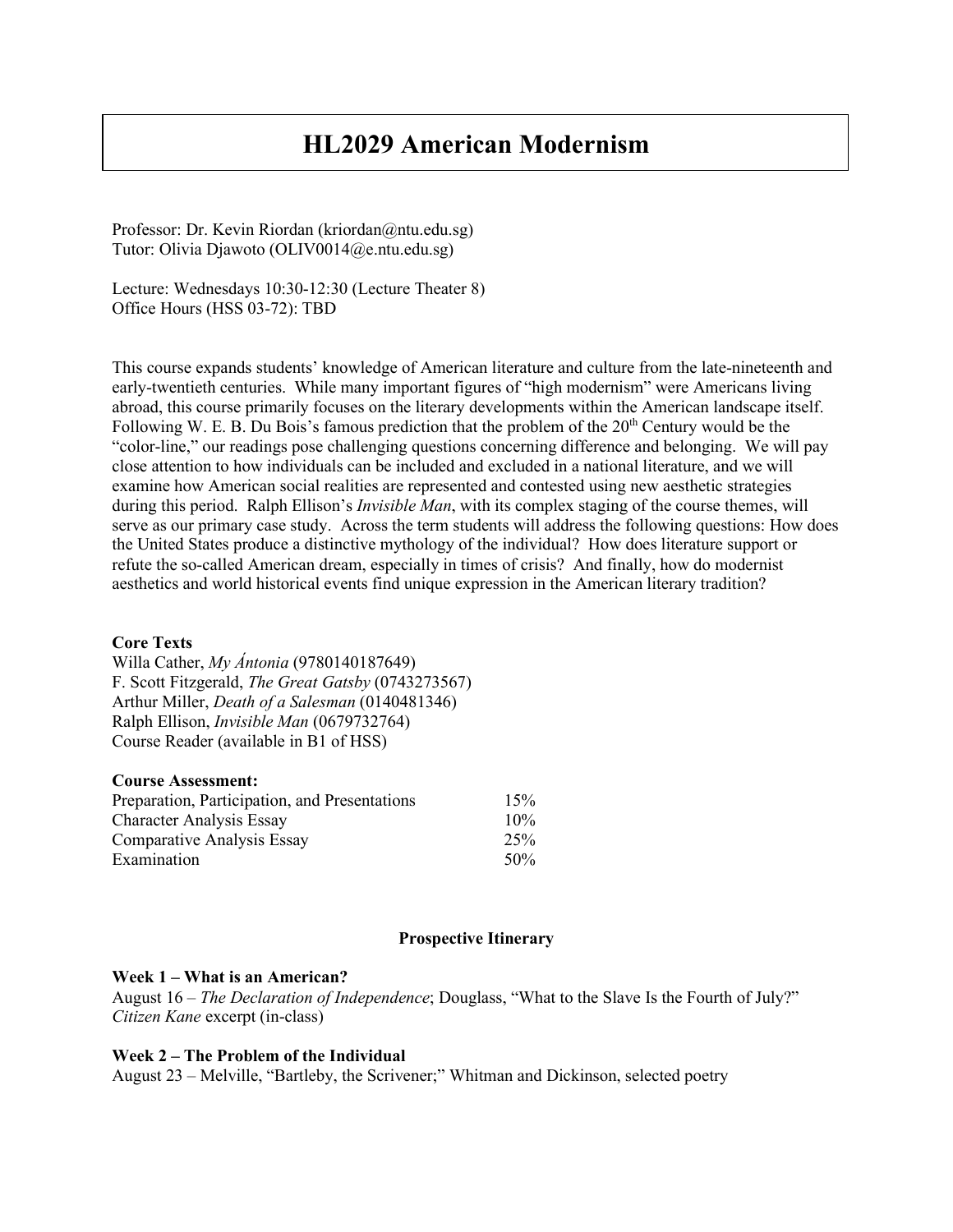# **HL2029 American Modernism**

Professor: Dr. Kevin Riordan (kriordan@ntu.edu.sg) Tutor: Olivia Djawoto (OLIV0014@e.ntu.edu.sg)

Lecture: Wednesdays 10:30-12:30 (Lecture Theater 8) Office Hours (HSS 03-72): TBD

This course expands students' knowledge of American literature and culture from the late-nineteenth and early-twentieth centuries. While many important figures of "high modernism" were Americans living abroad, this course primarily focuses on the literary developments within the American landscape itself. Following W. E. B. Du Bois's famous prediction that the problem of the  $20<sup>th</sup>$  Century would be the "color-line," our readings pose challenging questions concerning difference and belonging. We will pay close attention to how individuals can be included and excluded in a national literature, and we will examine how American social realities are represented and contested using new aesthetic strategies during this period. Ralph Ellison's *Invisible Man*, with its complex staging of the course themes, will serve as our primary case study. Across the term students will address the following questions: How does the United States produce a distinctive mythology of the individual? How does literature support or refute the so-called American dream, especially in times of crisis? And finally, how do modernist aesthetics and world historical events find unique expression in the American literary tradition?

## **Core Texts**

Willa Cather, *My Ántonia* (9780140187649) F. Scott Fitzgerald, *The Great Gatsby* (0743273567) Arthur Miller, *Death of a Salesman* (0140481346) Ralph Ellison, *Invisible Man* (0679732764) Course Reader (available in B1 of HSS)

## **Course Assessment:**

| Preparation, Participation, and Presentations                                | 15%                  |
|------------------------------------------------------------------------------|----------------------|
| <b>Character Analysis Essay</b><br>Comparative Analysis Essay<br>Examination | $10\%$<br>25%<br>50% |

#### **Prospective Itinerary**

#### **Week 1 – What is an American?**

August 16 – *The Declaration of Independence*; Douglass, "What to the Slave Is the Fourth of July?" *Citizen Kane* excerpt (in-class)

#### **Week 2 – The Problem of the Individual**

August 23 – Melville, "Bartleby, the Scrivener;" Whitman and Dickinson, selected poetry